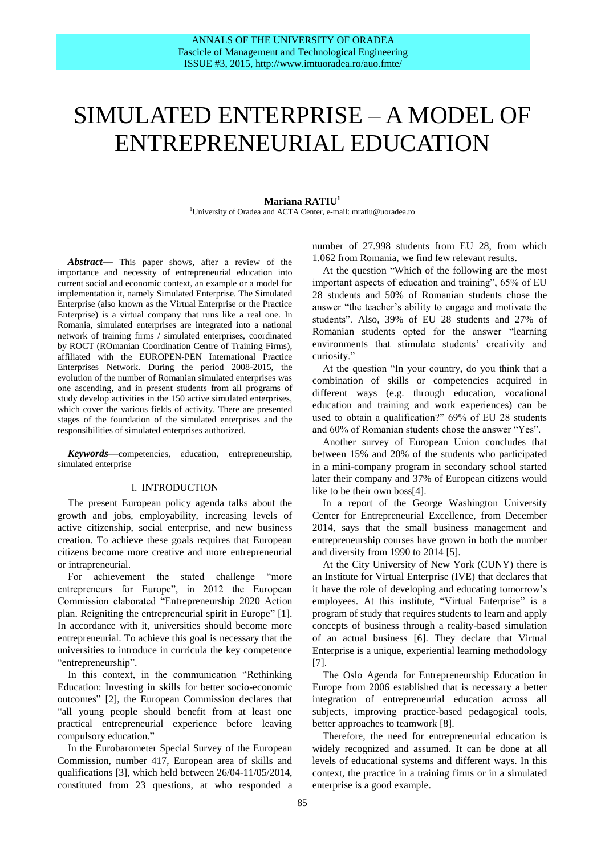# SIMULATED ENTERPRISE – A MODEL OF ENTREPRENEURIAL EDUCATION

#### **Mariana RATIU<sup>1</sup>** <sup>1</sup>University of Oradea and ACTA Center, e-mail: mratiu@uoradea.ro

*Abstract***—** This paper shows, after a review of the importance and necessity of entrepreneurial education into current social and economic context, an example or a model for implementation it, namely Simulated Enterprise. The Simulated Enterprise (also known as the Virtual Enterprise or the Practice Enterprise) is a virtual company that runs like a real one. In Romania, simulated enterprises are integrated into a national network of training firms / simulated enterprises, coordinated by ROCT (ROmanian Coordination Centre of Training Firms), affiliated with the EUROPEN-PEN International Practice Enterprises Network. During the period 2008-2015, the evolution of the number of Romanian simulated enterprises was one ascending, and in present students from all programs of study develop activities in the 150 active simulated enterprises, which cover the various fields of activity. There are presented stages of the foundation of the simulated enterprises and the responsibilities of simulated enterprises authorized.

*Keywords***—**competencies, education, entrepreneurship, simulated enterprise

#### I. INTRODUCTION

The present European policy agenda talks about the growth and jobs, employability, increasing levels of active citizenship, social enterprise, and new business creation. To achieve these goals requires that European citizens become more creative and more entrepreneurial or intrapreneurial.

For achievement the stated challenge "more entrepreneurs for Europe", in 2012 the European Commission elaborated "Entrepreneurship 2020 Action plan. Reigniting the entrepreneurial spirit in Europe" [1]. In accordance with it, universities should become more entrepreneurial. To achieve this goal is necessary that the universities to introduce in curricula the key competence "entrepreneurship".

In this context, in the communication "Rethinking Education: Investing in skills for better socio-economic outcomes" [2], the European Commission declares that "all young people should benefit from at least one practical entrepreneurial experience before leaving compulsory education."

In the Eurobarometer Special Survey of the European Commission, number 417, European area of skills and qualifications [3], which held between 26/04-11/05/2014, constituted from 23 questions, at who responded a number of 27.998 students from EU 28, from which 1.062 from Romania, we find few relevant results.

At the question "Which of the following are the most important aspects of education and training", 65% of EU 28 students and 50% of Romanian students chose the answer "the teacher's ability to engage and motivate the students". Also, 39% of EU 28 students and 27% of Romanian students opted for the answer "learning environments that stimulate students' creativity and curiosity."

At the question "In your country, do you think that a combination of skills or competencies acquired in different ways (e.g. through education, vocational education and training and work experiences) can be used to obtain a qualification?" 69% of EU 28 students and 60% of Romanian students chose the answer "Yes".

Another survey of European Union concludes that between 15% and 20% of the students who participated in a mini-company program in secondary school started later their company and 37% of European citizens would like to be their own boss[4].

In a report of the George Washington University Center for Entrepreneurial Excellence, from December 2014, says that the small business management and entrepreneurship courses have grown in both the number and diversity from 1990 to 2014 [5].

At the City University of New York (CUNY) there is an Institute for Virtual Enterprise (IVE) that declares that it have the role of developing and educating tomorrow's employees. At this institute, "Virtual Enterprise" is a program of study that requires students to learn and apply concepts of business through a reality-based simulation of an actual business [6]. They declare that Virtual Enterprise is a unique, experiential learning methodology [7].

The Oslo Agenda for Entrepreneurship Education in Europe from 2006 established that is necessary a better integration of entrepreneurial education across all subjects, improving practice-based pedagogical tools, better approaches to teamwork [8].

Therefore, the need for entrepreneurial education is widely recognized and assumed. It can be done at all levels of educational systems and different ways. In this context, the practice in a training firms or in a simulated enterprise is a good example.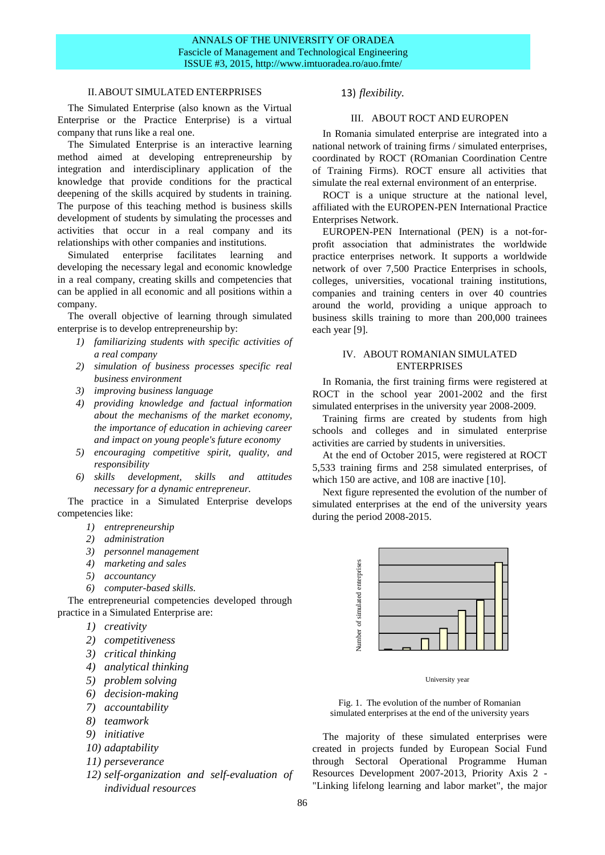# ANNALS OF THE UNIVERSITY OF ORADEA Fascicle of Management and Technological Engineering ISSUE #3, 2015, http://www.imtuoradea.ro/auo.fmte/

# II.ABOUT SIMULATED ENTERPRISES

The Simulated Enterprise (also known as the Virtual Enterprise or the Practice Enterprise) is a virtual company that runs like a real one.

The Simulated Enterprise is an interactive learning method aimed at developing entrepreneurship by integration and interdisciplinary application of the knowledge that provide conditions for the practical deepening of the skills acquired by students in training. The purpose of this teaching method is business skills development of students by simulating the processes and activities that occur in a real company and its relationships with other companies and institutions.

Simulated enterprise facilitates learning and developing the necessary legal and economic knowledge in a real company, creating skills and competencies that can be applied in all economic and all positions within a company.

The overall objective of learning through simulated enterprise is to develop entrepreneurship by:

- *1) familiarizing students with specific activities of a real company*
- *2) simulation of business processes specific real business environment*
- *3) improving business language*
- *4) providing knowledge and factual information about the mechanisms of the market economy, the importance of education in achieving career and impact on young people's future economy*
- *5) encouraging competitive spirit, quality, and responsibility*
- *6) skills development, skills and attitudes necessary for a dynamic entrepreneur.*

The practice in a Simulated Enterprise develops competencies like:

- *1) entrepreneurship*
- *2) administration*
- *3) personnel management*
- *4) marketing and sales*
- *5) accountancy*
- *6) computer-based skills.*

The entrepreneurial competencies developed through practice in a Simulated Enterprise are:

- *1) creativity*
- *2) competitiveness*
- *3) critical thinking*
- *4) analytical thinking*
- *5) problem solving*
- *6) decision-making*
- *7) accountability*
- *8) teamwork*
- *9) initiative*
- *10) adaptability*
- *11) perseverance*
- *12) self-organization and self-evaluation of individual resources*

## 13) *flexibility.*

# III. ABOUT ROCT AND EUROPEN

In Romania simulated enterprise are integrated into a national network of training firms / simulated enterprises, coordinated by ROCT (ROmanian Coordination Centre of Training Firms). ROCT ensure all activities that simulate the real external environment of an enterprise.

ROCT is a unique structure at the national level, affiliated with the EUROPEN-PEN International Practice Enterprises Network.

EUROPEN-PEN International (PEN) is a not-forprofit association that administrates the worldwide practice enterprises network. It supports a worldwide network of over 7,500 Practice Enterprises in schools, colleges, universities, vocational training institutions, companies and training centers in over 40 countries around the world, providing a unique approach to business skills training to more than 200,000 trainees each year [9].

## IV. ABOUT ROMANIAN SIMULATED **ENTERPRISES**

In Romania, the first training firms were registered at ROCT in the school year 2001-2002 and the first simulated enterprises in the university year 2008-2009.

Training firms are created by students from high schools and colleges and in simulated enterprise activities are carried by students in universities.

At the end of October 2015, were registered at ROCT 5,533 training firms and 258 simulated enterprises, of which 150 are active, and 108 are inactive [10].

Next figure represented the evolution of the number of simulated enterprises at the end of the university years during the period 2008-2015.



University year

Fig. 1. The evolution of the number of Romanian simulated enterprises at the end of the university years

The majority of these simulated enterprises were created in projects funded by European Social Fund through Sectoral Operational Programme Human Resources Development 2007-2013, Priority Axis 2 -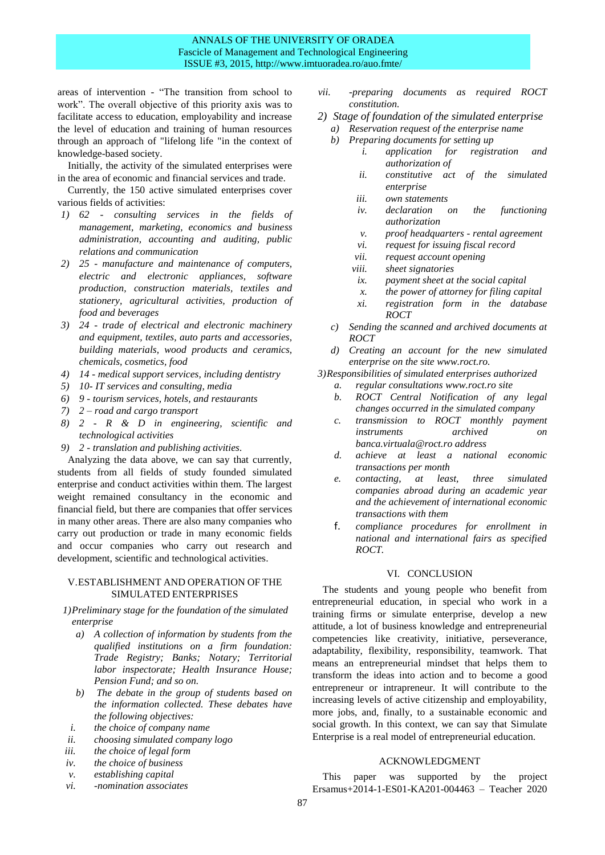# ANNALS OF THE UNIVERSITY OF ORADEA Fascicle of Management and Technological Engineering ISSUE #3, 2015, http://www.imtuoradea.ro/auo.fmte/

areas of intervention - "The transition from school to work". The overall objective of this priority axis was to facilitate access to education, employability and increase the level of education and training of human resources through an approach of "lifelong life "in the context of knowledge-based society.

Initially, the activity of the simulated enterprises were in the area of economic and financial services and trade.

Currently, the 150 active simulated enterprises cover various fields of activities:

- *1) 62 - consulting services in the fields of management, marketing, economics and business administration, accounting and auditing, public relations and communication*
- *2) 25 - manufacture and maintenance of computers, electric and electronic appliances, software production, construction materials, textiles and stationery, agricultural activities, production of food and beverages*
- *3) 24 - trade of electrical and electronic machinery and equipment, textiles, auto parts and accessories, building materials, wood products and ceramics, chemicals, cosmetics, food*
- *4) 14 - medical support services, including dentistry*
- *5) 10- IT services and consulting, media*
- *6) 9 - tourism services, hotels, and restaurants*
- *7) 2 – road and cargo transport*
- *8) 2 - R & D in engineering, scientific and technological activities*
- *9) 2 - translation and publishing activities.*

Analyzing the data above, we can say that currently, students from all fields of study founded simulated enterprise and conduct activities within them. The largest weight remained consultancy in the economic and financial field, but there are companies that offer services in many other areas. There are also many companies who carry out production or trade in many economic fields and occur companies who carry out research and development, scientific and technological activities.

#### V.ESTABLISHMENT AND OPERATION OF THE SIMULATED ENTERPRISES

*1)Preliminary stage for the foundation of the simulated enterprise*

- *a) A collection of information by students from the qualified institutions on a firm foundation: Trade Registry; Banks; Notary; Territorial labor inspectorate; Health Insurance House; Pension Fund; and so on.*
- *b) The debate in the group of students based on the information collected. These debates have the following objectives:*
- *i. the choice of company name*
- *ii. choosing simulated company logo*
- *iii. the choice of legal form*
- *iv. the choice of business*
- *v. establishing capital*
- *vi. -nomination associates*
- *vii. -preparing documents as required ROCT constitution.*
- *2) Stage of foundation of the simulated enterprise*
	- *a) Reservation request of the enterprise name*
	- *b) Preparing documents for setting up*
		- *i. application for registration and authorization of*
		- *ii. constitutive act of the simulated enterprise*
		- *iii. own statements*
		- *iv. declaration on the functioning authorization*
		- *v. proof headquarters - rental agreement*
		- *vi. request for issuing fiscal record*
		- *vii. request account opening*
		- *viii. sheet signatories*
		- *ix. payment sheet at the social capital*
		- *x. the power of attorney for filing capital*
		- *xi. registration form in the database ROCT*
	- *c) Sending the scanned and archived documents at ROCT*
	- *d) Creating an account for the new simulated enterprise on the site www.roct.ro.*
- *3)Responsibilities of simulated enterprises authorized*
	- *a. regular consultations www.roct.ro site*
	- *b. ROCT Central Notification of any legal changes occurred in the simulated company*
	- *c. transmission to ROCT monthly payment instruments archived on banca.virtuala@roct.ro address*
	- *d. achieve at least a national economic transactions per month*
	- *e. contacting, at least, three simulated companies abroad during an academic year and the achievement of international economic transactions with them*
	- f. *compliance procedures for enrollment in national and international fairs as specified ROCT.*

# VI. CONCLUSION

The students and young people who benefit from entrepreneurial education, in special who work in a training firms or simulate enterprise, develop a new attitude, a lot of business knowledge and entrepreneurial competencies like creativity, initiative, perseverance, adaptability, flexibility, responsibility, teamwork. That means an entrepreneurial mindset that helps them to transform the ideas into action and to become a good entrepreneur or intrapreneur. It will contribute to the increasing levels of active citizenship and employability, more jobs, and, finally, to a sustainable economic and social growth. In this context, we can say that Simulate Enterprise is a real model of entrepreneurial education.

## ACKNOWLEDGMENT

This paper was supported by the project Ersamus+2014-1-ES01-KA201-004463 – Teacher 2020